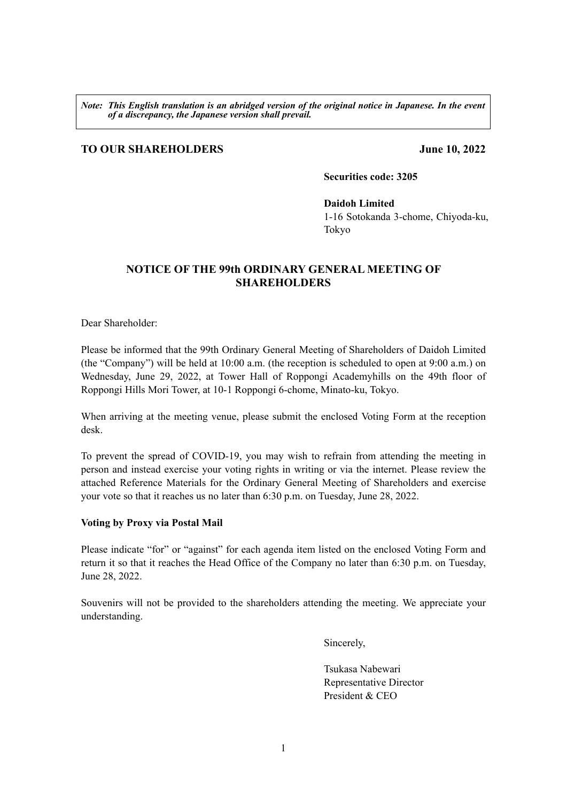*Note: This English translation is an abridged version of the original notice in Japanese. In the event of a discrepancy, the Japanese version shall prevail.* 

## **TO OUR SHAREHOLDERS June 10, 2022**

**Securities code: 3205**

### **Daidoh Limited**

1-16 Sotokanda 3-chome, Chiyoda-ku, Tokyo

## **NOTICE OF THE 99th ORDINARY GENERAL MEETING OF SHAREHOLDERS**

Dear Shareholder:

Please be informed that the 99th Ordinary General Meeting of Shareholders of Daidoh Limited (the "Company") will be held at 10:00 a.m. (the reception is scheduled to open at 9:00 a.m.) on Wednesday, June 29, 2022, at Tower Hall of Roppongi Academyhills on the 49th floor of Roppongi Hills Mori Tower, at 10-1 Roppongi 6-chome, Minato-ku, Tokyo.

When arriving at the meeting venue, please submit the enclosed Voting Form at the reception desk.

To prevent the spread of COVID-19, you may wish to refrain from attending the meeting in person and instead exercise your voting rights in writing or via the internet. Please review the attached Reference Materials for the Ordinary General Meeting of Shareholders and exercise your vote so that it reaches us no later than 6:30 p.m. on Tuesday, June 28, 2022.

### **Voting by Proxy via Postal Mail**

Please indicate "for" or "against" for each agenda item listed on the enclosed Voting Form and return it so that it reaches the Head Office of the Company no later than 6:30 p.m. on Tuesday, June 28, 2022.

Souvenirs will not be provided to the shareholders attending the meeting. We appreciate your understanding.

Sincerely,

Tsukasa Nabewari Representative Director President & CEO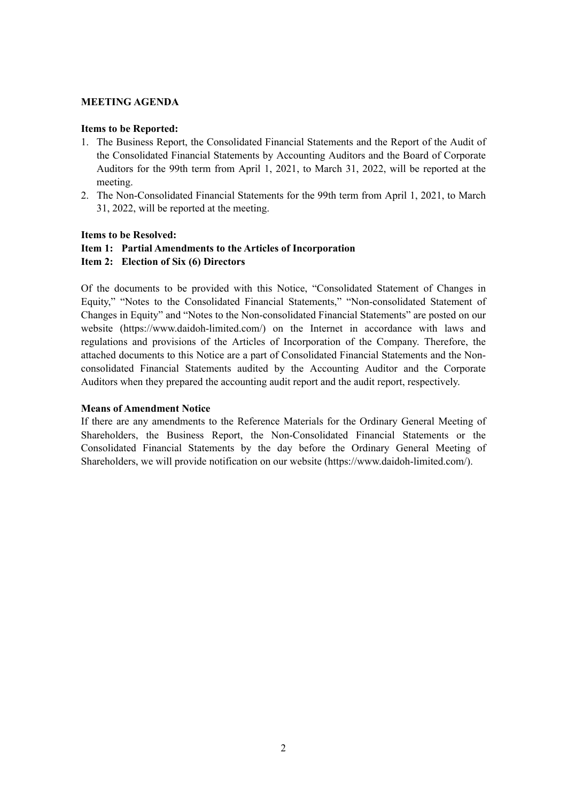### **MEETING AGENDA**

#### **Items to be Reported:**

- 1. The Business Report, the Consolidated Financial Statements and the Report of the Audit of the Consolidated Financial Statements by Accounting Auditors and the Board of Corporate Auditors for the 99th term from April 1, 2021, to March 31, 2022, will be reported at the meeting.
- 2. The Non-Consolidated Financial Statements for the 99th term from April 1, 2021, to March 31, 2022, will be reported at the meeting.

#### **Items to be Resolved:**

### **Item 1: Partial Amendments to the Articles of Incorporation**

#### **Item 2: Election of Six (6) Directors**

Of the documents to be provided with this Notice, "Consolidated Statement of Changes in Equity," "Notes to the Consolidated Financial Statements," "Non-consolidated Statement of Changes in Equity" and "Notes to the Non-consolidated Financial Statements" are posted on our website (https://www.daidoh-limited.com/) on the Internet in accordance with laws and regulations and provisions of the Articles of Incorporation of the Company. Therefore, the attached documents to this Notice are a part of Consolidated Financial Statements and the Nonconsolidated Financial Statements audited by the Accounting Auditor and the Corporate Auditors when they prepared the accounting audit report and the audit report, respectively.

#### **Means of Amendment Notice**

If there are any amendments to the Reference Materials for the Ordinary General Meeting of Shareholders, the Business Report, the Non-Consolidated Financial Statements or the Consolidated Financial Statements by the day before the Ordinary General Meeting of Shareholders, we will provide notification on our website (https://www.daidoh-limited.com/).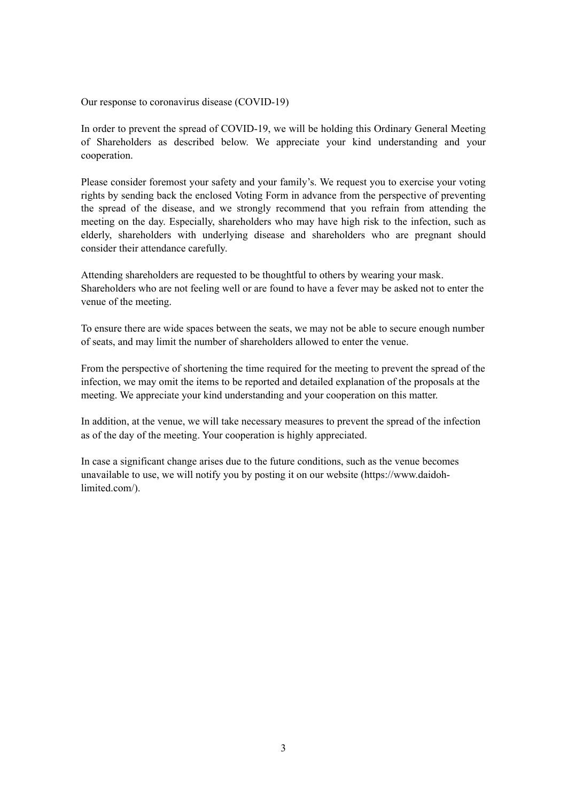Our response to coronavirus disease (COVID-19)

In order to prevent the spread of COVID-19, we will be holding this Ordinary General Meeting of Shareholders as described below. We appreciate your kind understanding and your cooperation.

Please consider foremost your safety and your family's. We request you to exercise your voting rights by sending back the enclosed Voting Form in advance from the perspective of preventing the spread of the disease, and we strongly recommend that you refrain from attending the meeting on the day. Especially, shareholders who may have high risk to the infection, such as elderly, shareholders with underlying disease and shareholders who are pregnant should consider their attendance carefully.

Attending shareholders are requested to be thoughtful to others by wearing your mask. Shareholders who are not feeling well or are found to have a fever may be asked not to enter the venue of the meeting.

To ensure there are wide spaces between the seats, we may not be able to secure enough number of seats, and may limit the number of shareholders allowed to enter the venue.

From the perspective of shortening the time required for the meeting to prevent the spread of the infection, we may omit the items to be reported and detailed explanation of the proposals at the meeting. We appreciate your kind understanding and your cooperation on this matter.

In addition, at the venue, we will take necessary measures to prevent the spread of the infection as of the day of the meeting. Your cooperation is highly appreciated.

In case a significant change arises due to the future conditions, such as the venue becomes unavailable to use, we will notify you by posting it on our website (https://www.daidohlimited.com/).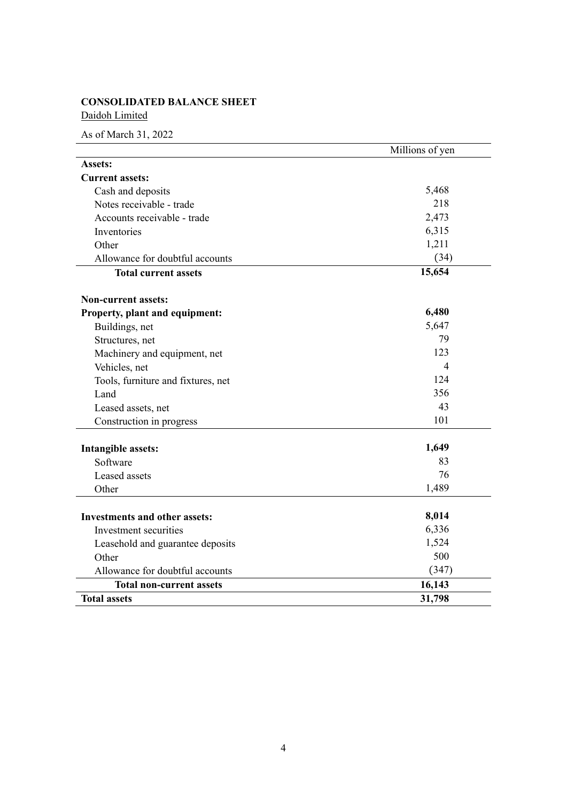# **CONSOLIDATED BALANCE SHEET**

Daidoh Limited

|                                      | Millions of yen |
|--------------------------------------|-----------------|
| Assets:                              |                 |
| <b>Current assets:</b>               |                 |
| Cash and deposits                    | 5,468           |
| Notes receivable - trade             | 218             |
| Accounts receivable - trade          | 2,473           |
| Inventories                          | 6,315           |
| Other                                | 1,211           |
| Allowance for doubtful accounts      | (34)            |
| <b>Total current assets</b>          | 15,654          |
| <b>Non-current assets:</b>           |                 |
| Property, plant and equipment:       | 6,480           |
| Buildings, net                       | 5,647           |
| Structures, net                      | 79              |
| Machinery and equipment, net         | 123             |
| Vehicles, net                        | $\overline{4}$  |
| Tools, furniture and fixtures, net   | 124             |
| Land                                 | 356             |
| Leased assets, net                   | 43              |
| Construction in progress             | 101             |
| <b>Intangible assets:</b>            | 1,649           |
| Software                             | 83              |
| Leased assets                        | 76              |
| Other                                | 1,489           |
| <b>Investments and other assets:</b> | 8,014           |
| Investment securities                | 6,336           |
| Leasehold and guarantee deposits     | 1,524           |
| Other                                | 500             |
| Allowance for doubtful accounts      | (347)           |
| <b>Total non-current assets</b>      | 16,143          |
| <b>Total assets</b>                  | 31,798          |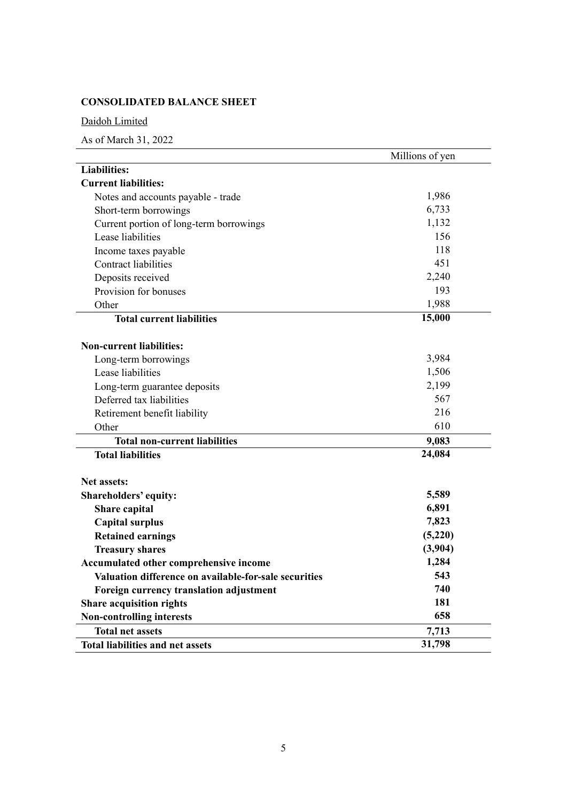# **CONSOLIDATED BALANCE SHEET**

## Daidoh Limited

|                                                       | Millions of yen |
|-------------------------------------------------------|-----------------|
| <b>Liabilities:</b>                                   |                 |
| <b>Current liabilities:</b>                           |                 |
| Notes and accounts payable - trade                    | 1,986           |
| Short-term borrowings                                 | 6,733           |
| Current portion of long-term borrowings               | 1,132           |
| Lease liabilities                                     | 156             |
| Income taxes payable                                  | 118             |
| <b>Contract liabilities</b>                           | 451             |
| Deposits received                                     | 2,240           |
| Provision for bonuses                                 | 193             |
| Other                                                 | 1,988           |
| <b>Total current liabilities</b>                      | 15,000          |
|                                                       |                 |
| <b>Non-current liabilities:</b>                       |                 |
| Long-term borrowings                                  | 3,984           |
| Lease liabilities                                     | 1,506           |
| Long-term guarantee deposits                          | 2,199           |
| Deferred tax liabilities                              | 567             |
| Retirement benefit liability                          | 216             |
| Other                                                 | 610             |
| <b>Total non-current liabilities</b>                  | 9,083           |
| <b>Total liabilities</b>                              | 24,084          |
|                                                       |                 |
| <b>Net assets:</b>                                    |                 |
| Shareholders' equity:                                 | 5,589           |
| Share capital                                         | 6,891           |
| <b>Capital surplus</b>                                | 7,823           |
| <b>Retained earnings</b>                              | (5,220)         |
| <b>Treasury shares</b>                                | (3,904)         |
| Accumulated other comprehensive income                | 1,284           |
| Valuation difference on available-for-sale securities | 543             |
| Foreign currency translation adjustment               | 740             |
| <b>Share acquisition rights</b>                       | 181             |
| <b>Non-controlling interests</b>                      | 658             |
| <b>Total net assets</b>                               | 7,713           |
| <b>Total liabilities and net assets</b>               | 31,798          |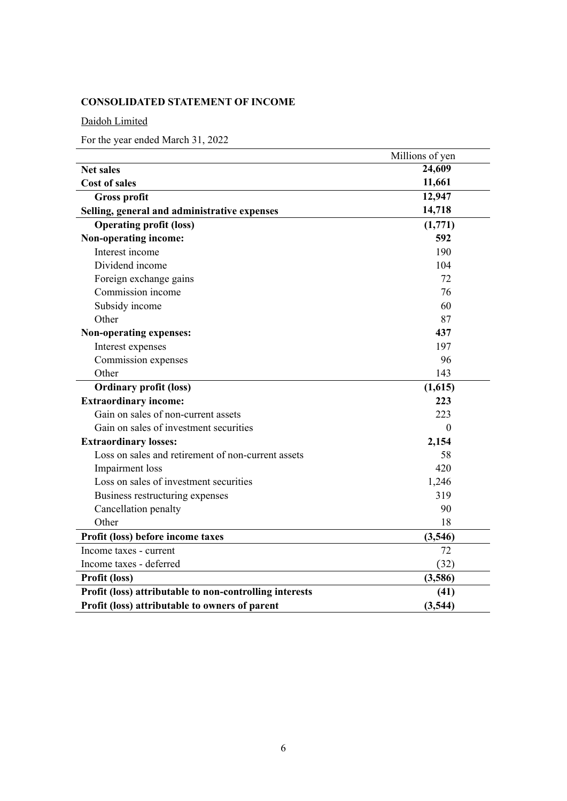# **CONSOLIDATED STATEMENT OF INCOME**

Daidoh Limited

For the year ended March 31, 2022

|                                                         | Millions of yen |
|---------------------------------------------------------|-----------------|
| <b>Net sales</b>                                        | 24,609          |
| <b>Cost of sales</b>                                    | 11,661          |
| <b>Gross profit</b>                                     | 12,947          |
| Selling, general and administrative expenses            | 14,718          |
| <b>Operating profit (loss)</b>                          | (1,771)         |
| Non-operating income:                                   | 592             |
| Interest income                                         | 190             |
| Dividend income                                         | 104             |
| Foreign exchange gains                                  | 72              |
| Commission income                                       | 76              |
| Subsidy income                                          | 60              |
| Other                                                   | 87              |
| Non-operating expenses:                                 | 437             |
| Interest expenses                                       | 197             |
| Commission expenses                                     | 96              |
| Other                                                   | 143             |
| <b>Ordinary profit (loss)</b>                           | (1,615)         |
| <b>Extraordinary income:</b>                            | 223             |
| Gain on sales of non-current assets                     | 223             |
| Gain on sales of investment securities                  | $\Omega$        |
| <b>Extraordinary losses:</b>                            | 2,154           |
| Loss on sales and retirement of non-current assets      | 58              |
| Impairment loss                                         | 420             |
| Loss on sales of investment securities                  | 1,246           |
| Business restructuring expenses                         | 319             |
| Cancellation penalty                                    | 90              |
| Other                                                   | 18              |
| Profit (loss) before income taxes                       | (3,546)         |
| Income taxes - current                                  | 72              |
| Income taxes - deferred                                 | (32)            |
| Profit (loss)                                           | (3,586)         |
| Profit (loss) attributable to non-controlling interests | (41)            |
| Profit (loss) attributable to owners of parent          | (3,544)         |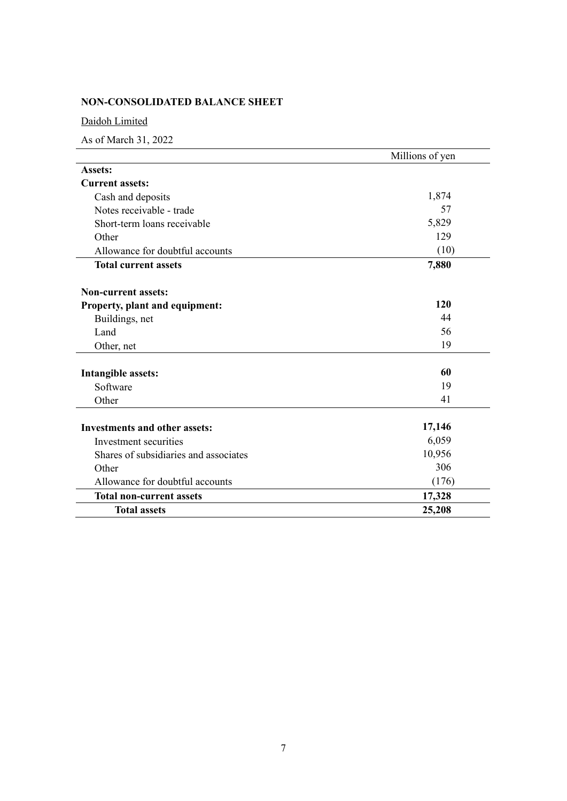# **NON-CONSOLIDATED BALANCE SHEET**

## Daidoh Limited

|                                       | Millions of yen |  |  |
|---------------------------------------|-----------------|--|--|
| <b>Assets:</b>                        |                 |  |  |
| <b>Current assets:</b>                |                 |  |  |
| Cash and deposits                     | 1,874           |  |  |
| Notes receivable - trade              | 57              |  |  |
| Short-term loans receivable           | 5,829           |  |  |
| Other                                 | 129             |  |  |
| Allowance for doubtful accounts       | (10)            |  |  |
| <b>Total current assets</b>           | 7,880           |  |  |
| <b>Non-current assets:</b>            |                 |  |  |
| Property, plant and equipment:        | 120             |  |  |
| Buildings, net                        | 44              |  |  |
| Land                                  | 56              |  |  |
| Other, net                            | 19              |  |  |
| <b>Intangible assets:</b>             | 60              |  |  |
| Software                              | 19              |  |  |
| Other                                 | 41              |  |  |
| <b>Investments and other assets:</b>  | 17,146          |  |  |
| Investment securities                 | 6,059           |  |  |
| Shares of subsidiaries and associates | 10,956          |  |  |
| Other                                 | 306             |  |  |
| Allowance for doubtful accounts       | (176)           |  |  |
| <b>Total non-current assets</b>       | 17,328          |  |  |
| <b>Total assets</b>                   | 25,208          |  |  |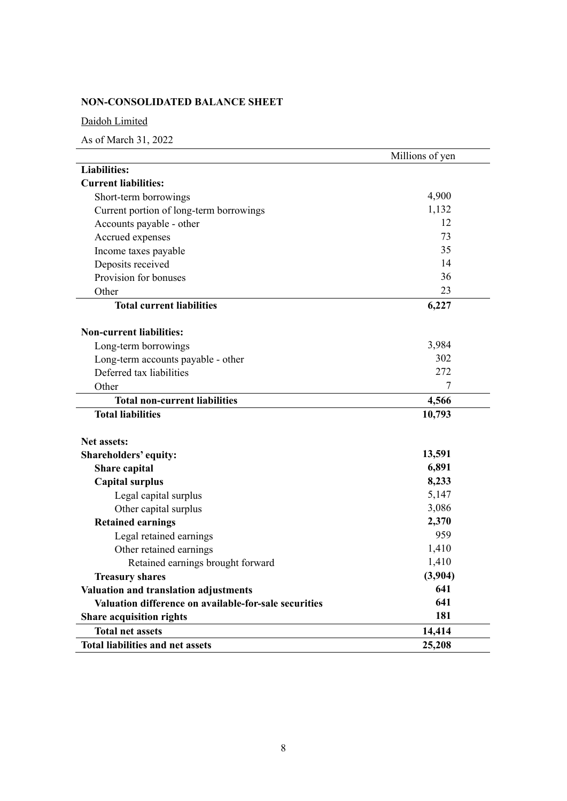# **NON-CONSOLIDATED BALANCE SHEET**

Daidoh Limited

|                                                       | Millions of yen |
|-------------------------------------------------------|-----------------|
| <b>Liabilities:</b>                                   |                 |
| <b>Current liabilities:</b>                           |                 |
| Short-term borrowings                                 | 4,900           |
| Current portion of long-term borrowings               | 1,132           |
| Accounts payable - other                              | 12              |
| Accrued expenses                                      | 73              |
| Income taxes payable                                  | 35              |
| Deposits received                                     | 14              |
| Provision for bonuses                                 | 36              |
| Other                                                 | 23              |
| <b>Total current liabilities</b>                      | 6,227           |
| <b>Non-current liabilities:</b>                       |                 |
| Long-term borrowings                                  | 3,984           |
| Long-term accounts payable - other                    | 302             |
| Deferred tax liabilities                              | 272             |
| Other                                                 | 7               |
| <b>Total non-current liabilities</b>                  | 4,566           |
| <b>Total liabilities</b>                              | 10,793          |
|                                                       |                 |
| <b>Net assets:</b>                                    | 13,591          |
| Shareholders' equity:                                 | 6,891           |
| Share capital                                         | 8,233           |
| <b>Capital surplus</b>                                | 5,147           |
| Legal capital surplus                                 |                 |
| Other capital surplus                                 | 3,086           |
| <b>Retained earnings</b>                              | 2,370<br>959    |
| Legal retained earnings                               |                 |
| Other retained earnings                               | 1,410           |
| Retained earnings brought forward                     | 1,410           |
| <b>Treasury shares</b>                                | (3,904)         |
| Valuation and translation adjustments                 | 641             |
| Valuation difference on available-for-sale securities | 641             |
| <b>Share acquisition rights</b>                       | 181             |
| <b>Total net assets</b>                               | 14,414          |
| <b>Total liabilities and net assets</b>               | 25,208          |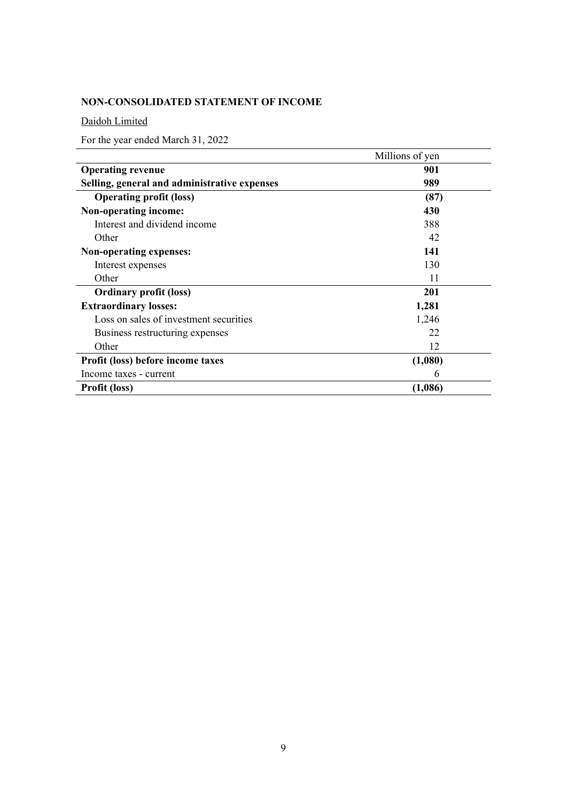# **NON-CONSOLIDATED STATEMENT OF INCOME**

Daidoh Limited

For the year ended March 31, 2022

|                                              | Millions of yen |  |  |  |
|----------------------------------------------|-----------------|--|--|--|
| <b>Operating revenue</b>                     | 901             |  |  |  |
| Selling, general and administrative expenses | 989             |  |  |  |
| <b>Operating profit (loss)</b>               | (87)            |  |  |  |
| Non-operating income:                        | 430             |  |  |  |
| Interest and dividend income                 | 388             |  |  |  |
| Other                                        | 42              |  |  |  |
| Non-operating expenses:                      | 141             |  |  |  |
| Interest expenses                            | 130             |  |  |  |
| Other                                        | 11              |  |  |  |
| <b>Ordinary profit (loss)</b>                | 201             |  |  |  |
| <b>Extraordinary losses:</b>                 | 1,281           |  |  |  |
| Loss on sales of investment securities       | 1,246           |  |  |  |
| Business restructuring expenses              | 22              |  |  |  |
| Other                                        | 12              |  |  |  |
| Profit (loss) before income taxes            | (1,080)         |  |  |  |
| Income taxes - current                       | 6               |  |  |  |
| <b>Profit (loss)</b>                         | (1,086)         |  |  |  |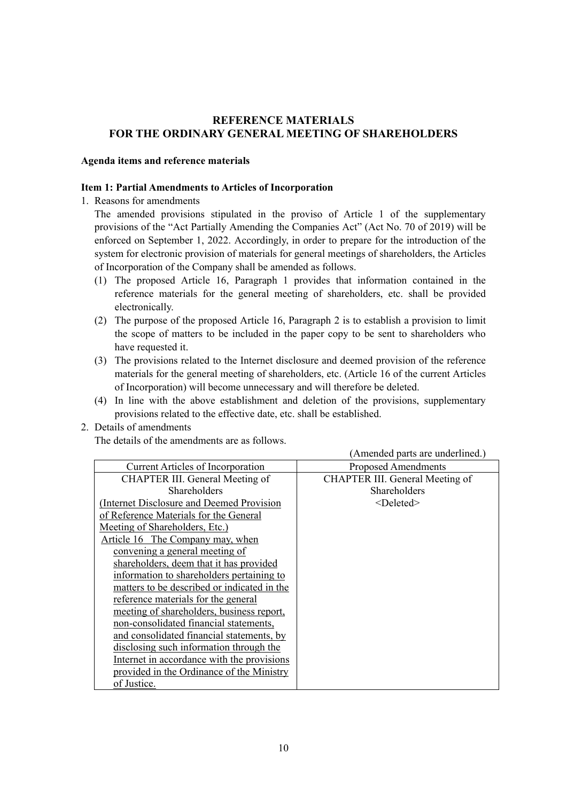## **REFERENCE MATERIALS FOR THE ORDINARY GENERAL MEETING OF SHAREHOLDERS**

### **Agenda items and reference materials**

### **Item 1: Partial Amendments to Articles of Incorporation**

1. Reasons for amendments

The amended provisions stipulated in the proviso of Article 1 of the supplementary provisions of the "Act Partially Amending the Companies Act" (Act No. 70 of 2019) will be enforced on September 1, 2022. Accordingly, in order to prepare for the introduction of the system for electronic provision of materials for general meetings of shareholders, the Articles of Incorporation of the Company shall be amended as follows.

- (1) The proposed Article 16, Paragraph 1 provides that information contained in the reference materials for the general meeting of shareholders, etc. shall be provided electronically.
- (2) The purpose of the proposed Article 16, Paragraph 2 is to establish a provision to limit the scope of matters to be included in the paper copy to be sent to shareholders who have requested it.
- (3) The provisions related to the Internet disclosure and deemed provision of the reference materials for the general meeting of shareholders, etc. (Article 16 of the current Articles of Incorporation) will become unnecessary and will therefore be deleted.
- (4) In line with the above establishment and deletion of the provisions, supplementary provisions related to the effective date, etc. shall be established.
- 2. Details of amendments

The details of the amendments are as follows.

|                                             | (Amended parts are underlined.) |
|---------------------------------------------|---------------------------------|
| <b>Current Articles of Incorporation</b>    | <b>Proposed Amendments</b>      |
| CHAPTER III. General Meeting of             | CHAPTER III. General Meeting of |
| Shareholders                                | Shareholders                    |
| (Internet Disclosure and Deemed Provision   | $<$ Deleted $>$                 |
| of Reference Materials for the General      |                                 |
| Meeting of Shareholders, Etc.)              |                                 |
| Article 16 The Company may, when            |                                 |
| convening a general meeting of              |                                 |
| shareholders, deem that it has provided     |                                 |
| information to shareholders pertaining to   |                                 |
| matters to be described or indicated in the |                                 |
| reference materials for the general         |                                 |
| meeting of shareholders, business report,   |                                 |
| non-consolidated financial statements,      |                                 |
| and consolidated financial statements, by   |                                 |
| disclosing such information through the     |                                 |
| Internet in accordance with the provisions  |                                 |
| provided in the Ordinance of the Ministry   |                                 |
| of Justice.                                 |                                 |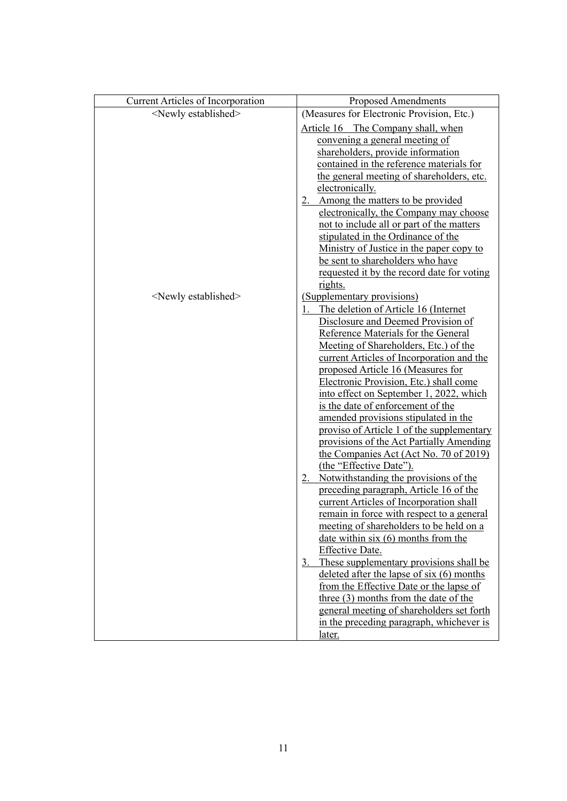| <b>Current Articles of Incorporation</b> | <b>Proposed Amendments</b>                       |
|------------------------------------------|--------------------------------------------------|
| <newly established=""></newly>           | (Measures for Electronic Provision, Etc.)        |
|                                          | Article 16 The Company shall, when               |
|                                          | convening a general meeting of                   |
|                                          | shareholders, provide information                |
|                                          | contained in the reference materials for         |
|                                          | the general meeting of shareholders, etc.        |
|                                          | electronically.                                  |
|                                          | 2. Among the matters to be provided              |
|                                          | electronically, the Company may choose           |
|                                          | not to include all or part of the matters        |
|                                          | stipulated in the Ordinance of the               |
|                                          | Ministry of Justice in the paper copy to         |
|                                          | be sent to shareholders who have                 |
|                                          | requested it by the record date for voting       |
|                                          | <u>rights.</u>                                   |
| <newly established=""></newly>           | (Supplementary provisions)                       |
|                                          | The deletion of Article 16 (Internet             |
|                                          | Disclosure and Deemed Provision of               |
|                                          | Reference Materials for the General              |
|                                          | Meeting of Shareholders, Etc.) of the            |
|                                          | current Articles of Incorporation and the        |
|                                          | proposed Article 16 (Measures for                |
|                                          | Electronic Provision, Etc.) shall come           |
|                                          | into effect on September 1, 2022, which          |
|                                          | is the date of enforcement of the                |
|                                          | amended provisions stipulated in the             |
|                                          | proviso of Article 1 of the supplementary        |
|                                          | provisions of the Act Partially Amending         |
|                                          | the Companies Act (Act No. 70 of 2019)           |
|                                          | (the "Effective Date").                          |
|                                          | 2. Notwithstanding the provisions of the         |
|                                          | preceding paragraph, Article 16 of the           |
|                                          | current Articles of Incorporation shall          |
|                                          | <u>remain in force with respect to a general</u> |
|                                          | meeting of shareholders to be held on a          |
|                                          | date within $six(6)$ months from the             |
|                                          | Effective Date.                                  |
|                                          | These supplementary provisions shall be<br>3.    |
|                                          | deleted after the lapse of six $(6)$ months      |
|                                          | from the Effective Date or the lapse of          |
|                                          | three (3) months from the date of the            |
|                                          | general meeting of shareholders set forth        |
|                                          | in the preceding paragraph, whichever is         |
|                                          | later.                                           |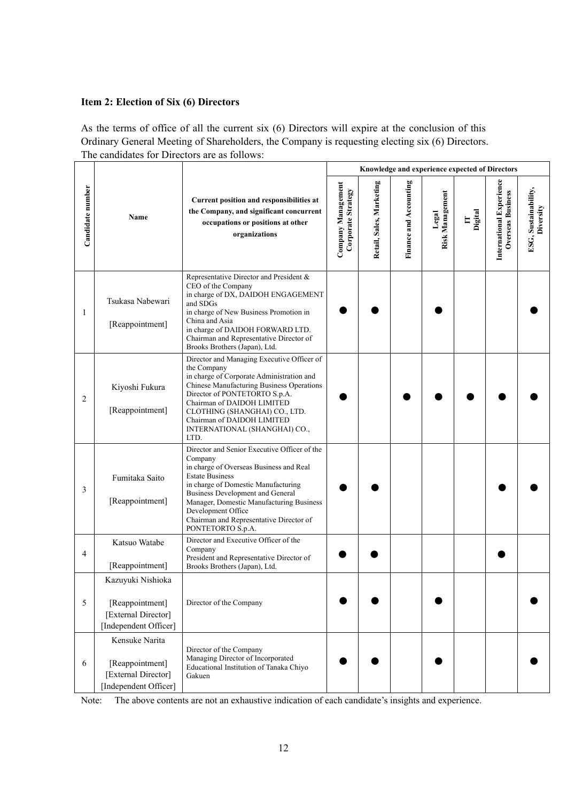## **Item 2: Election of Six (6) Directors**

As the terms of office of all the current six (6) Directors will expire at the conclusion of this Ordinary General Meeting of Shareholders, the Company is requesting electing six (6) Directors. The candidates for Directors are as follows:

|                  |                                                                                      |                                                                                                                                                                                                                                                                                                                                           | Knowledge and experience expected of Directors |                          |                        |                          |              |                                                      |                                   |
|------------------|--------------------------------------------------------------------------------------|-------------------------------------------------------------------------------------------------------------------------------------------------------------------------------------------------------------------------------------------------------------------------------------------------------------------------------------------|------------------------------------------------|--------------------------|------------------------|--------------------------|--------------|------------------------------------------------------|-----------------------------------|
| Candidate number | Name                                                                                 | Current position and responsibilities at<br>the Company, and significant concurrent<br>occupations or positions at other<br>organizations                                                                                                                                                                                                 | Company Management<br>Corporate Strategy       | Retail, Sales, Marketing | Finance and Accounting | Risk Management<br>Legal | Digital<br>E | International Experience<br><b>Overseas Business</b> | ESG, Sustainability,<br>Diversity |
| 1                | Tsukasa Nabewari<br>[Reappointment]                                                  | Representative Director and President &<br>CEO of the Company<br>in charge of DX, DAIDOH ENGAGEMENT<br>and SDGs<br>in charge of New Business Promotion in<br>China and Asia<br>in charge of DAIDOH FORWARD LTD.<br>Chairman and Representative Director of<br>Brooks Brothers (Japan), Ltd.                                               |                                                |                          |                        |                          |              |                                                      |                                   |
| 2                | Kiyoshi Fukura<br>[Reappointment]                                                    | Director and Managing Executive Officer of<br>the Company<br>in charge of Corporate Administration and<br>Chinese Manufacturing Business Operations<br>Director of PONTETORTO S.p.A.<br>Chairman of DAIDOH LIMITED<br>CLOTHING (SHANGHAI) CO., LTD.<br>Chairman of DAIDOH LIMITED<br>INTERNATIONAL (SHANGHAI) CO.,<br>LTD.                |                                                |                          |                        |                          |              |                                                      |                                   |
| 3                | Fumitaka Saito<br>[Reappointment]                                                    | Director and Senior Executive Officer of the<br>Company<br>in charge of Overseas Business and Real<br><b>Estate Business</b><br>in charge of Domestic Manufacturing<br>Business Development and General<br>Manager, Domestic Manufacturing Business<br>Development Office<br>Chairman and Representative Director of<br>PONTETORTO S.p.A. |                                                |                          |                        |                          |              |                                                      |                                   |
| 4                | Katsuo Watabe<br>[Reappointment]                                                     | Director and Executive Officer of the<br>Company<br>President and Representative Director of<br>Brooks Brothers (Japan), Ltd.                                                                                                                                                                                                             |                                                |                          |                        |                          |              |                                                      |                                   |
| 5                | Kazuyuki Nishioka<br>[Reappointment]<br>[External Director]<br>[Independent Officer] | Director of the Company                                                                                                                                                                                                                                                                                                                   |                                                |                          |                        |                          |              |                                                      |                                   |
| 6                | Kensuke Narita<br>[Reappointment]<br>[External Director]<br>[Independent Officer]    | Director of the Company<br>Managing Director of Incorporated<br>Educational Institution of Tanaka Chiyo<br>Gakuen                                                                                                                                                                                                                         |                                                |                          |                        |                          |              |                                                      |                                   |

Note: The above contents are not an exhaustive indication of each candidate's insights and experience.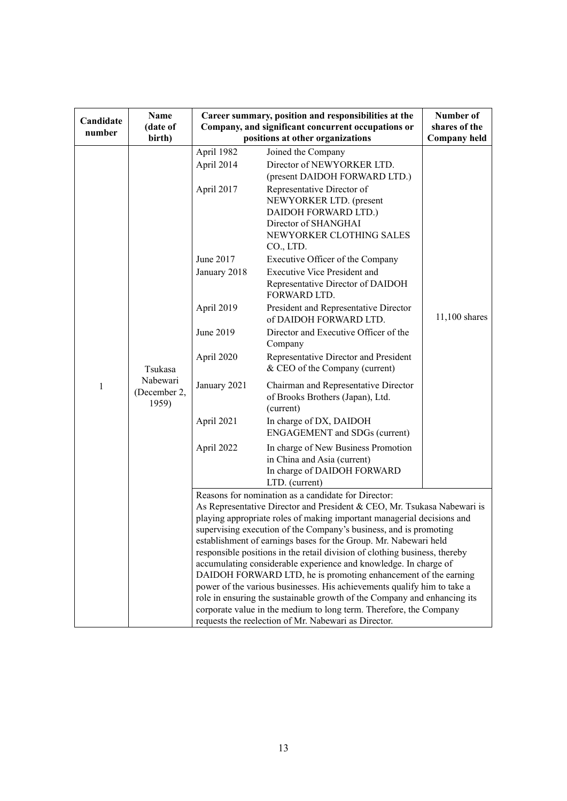|           |                                   |                                                                                                                                                                                                                                                                                                                                                                                                                                                                                                                                                                                                                                                                                                                                                                                                                                                            | Career summary, position and responsibilities at the                                                                                                               |                     |  |
|-----------|-----------------------------------|------------------------------------------------------------------------------------------------------------------------------------------------------------------------------------------------------------------------------------------------------------------------------------------------------------------------------------------------------------------------------------------------------------------------------------------------------------------------------------------------------------------------------------------------------------------------------------------------------------------------------------------------------------------------------------------------------------------------------------------------------------------------------------------------------------------------------------------------------------|--------------------------------------------------------------------------------------------------------------------------------------------------------------------|---------------------|--|
| Candidate | Name<br>(date of                  |                                                                                                                                                                                                                                                                                                                                                                                                                                                                                                                                                                                                                                                                                                                                                                                                                                                            | Number of<br>shares of the                                                                                                                                         |                     |  |
| number    | birth)                            | Company, and significant concurrent occupations or<br>positions at other organizations                                                                                                                                                                                                                                                                                                                                                                                                                                                                                                                                                                                                                                                                                                                                                                     |                                                                                                                                                                    | <b>Company held</b> |  |
|           |                                   | April 1982<br>April 2014                                                                                                                                                                                                                                                                                                                                                                                                                                                                                                                                                                                                                                                                                                                                                                                                                                   | Joined the Company<br>Director of NEWYORKER LTD.                                                                                                                   |                     |  |
|           |                                   | April 2017                                                                                                                                                                                                                                                                                                                                                                                                                                                                                                                                                                                                                                                                                                                                                                                                                                                 | (present DAIDOH FORWARD LTD.)<br>Representative Director of<br>NEWYORKER LTD. (present<br>DAIDOH FORWARD LTD.)<br>Director of SHANGHAI<br>NEWYORKER CLOTHING SALES |                     |  |
|           |                                   | June 2017                                                                                                                                                                                                                                                                                                                                                                                                                                                                                                                                                                                                                                                                                                                                                                                                                                                  | CO., LTD.<br>Executive Officer of the Company                                                                                                                      |                     |  |
|           |                                   | January 2018                                                                                                                                                                                                                                                                                                                                                                                                                                                                                                                                                                                                                                                                                                                                                                                                                                               | <b>Executive Vice President and</b><br>Representative Director of DAIDOH<br>FORWARD LTD.                                                                           |                     |  |
|           |                                   | April 2019                                                                                                                                                                                                                                                                                                                                                                                                                                                                                                                                                                                                                                                                                                                                                                                                                                                 | President and Representative Director<br>of DAIDOH FORWARD LTD.                                                                                                    | $11,100$ shares     |  |
|           |                                   | June 2019                                                                                                                                                                                                                                                                                                                                                                                                                                                                                                                                                                                                                                                                                                                                                                                                                                                  | Director and Executive Officer of the<br>Company                                                                                                                   |                     |  |
|           | Tsukasa                           | April 2020                                                                                                                                                                                                                                                                                                                                                                                                                                                                                                                                                                                                                                                                                                                                                                                                                                                 | Representative Director and President<br>& CEO of the Company (current)                                                                                            |                     |  |
| 1         | Nabewari<br>(December 2,<br>1959) | January 2021                                                                                                                                                                                                                                                                                                                                                                                                                                                                                                                                                                                                                                                                                                                                                                                                                                               | Chairman and Representative Director<br>of Brooks Brothers (Japan), Ltd.<br>(current)                                                                              |                     |  |
|           |                                   | April 2021                                                                                                                                                                                                                                                                                                                                                                                                                                                                                                                                                                                                                                                                                                                                                                                                                                                 | In charge of DX, DAIDOH<br><b>ENGAGEMENT</b> and SDGs (current)                                                                                                    |                     |  |
|           |                                   | April 2022                                                                                                                                                                                                                                                                                                                                                                                                                                                                                                                                                                                                                                                                                                                                                                                                                                                 | In charge of New Business Promotion<br>in China and Asia (current)<br>In charge of DAIDOH FORWARD<br>LTD. (current)                                                |                     |  |
|           |                                   | Reasons for nomination as a candidate for Director:<br>As Representative Director and President & CEO, Mr. Tsukasa Nabewari is<br>playing appropriate roles of making important managerial decisions and<br>supervising execution of the Company's business, and is promoting<br>establishment of earnings bases for the Group. Mr. Nabewari held<br>responsible positions in the retail division of clothing business, thereby<br>accumulating considerable experience and knowledge. In charge of<br>DAIDOH FORWARD LTD, he is promoting enhancement of the earning<br>power of the various businesses. His achievements qualify him to take a<br>role in ensuring the sustainable growth of the Company and enhancing its<br>corporate value in the medium to long term. Therefore, the Company<br>requests the reelection of Mr. Nabewari as Director. |                                                                                                                                                                    |                     |  |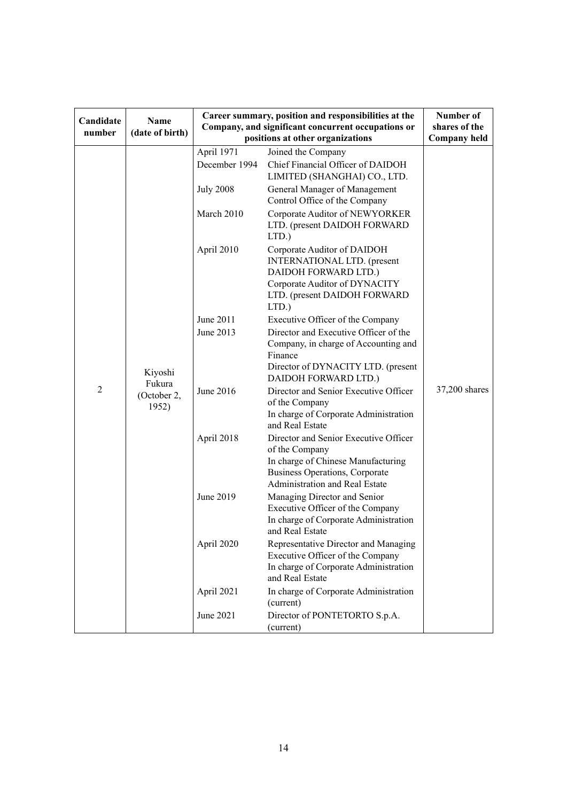| Candidate<br>number | <b>Name</b><br>(date of birth)            | Career summary, position and responsibilities at the<br>Company, and significant concurrent occupations or<br>positions at other organizations | Number of<br>shares of the<br><b>Company held</b>                                                                                                                 |               |
|---------------------|-------------------------------------------|------------------------------------------------------------------------------------------------------------------------------------------------|-------------------------------------------------------------------------------------------------------------------------------------------------------------------|---------------|
|                     |                                           | April 1971                                                                                                                                     | Joined the Company                                                                                                                                                |               |
|                     |                                           | December 1994                                                                                                                                  | Chief Financial Officer of DAIDOH<br>LIMITED (SHANGHAI) CO., LTD.                                                                                                 |               |
|                     |                                           | <b>July 2008</b>                                                                                                                               | General Manager of Management<br>Control Office of the Company                                                                                                    |               |
|                     |                                           | March 2010                                                                                                                                     | Corporate Auditor of NEWYORKER<br>LTD. (present DAIDOH FORWARD<br>LTD.)                                                                                           |               |
|                     |                                           | April 2010                                                                                                                                     | Corporate Auditor of DAIDOH<br>INTERNATIONAL LTD. (present<br>DAIDOH FORWARD LTD.)<br>Corporate Auditor of DYNACITY<br>LTD. (present DAIDOH FORWARD<br>LTD.)      |               |
|                     |                                           | June 2011                                                                                                                                      | Executive Officer of the Company                                                                                                                                  |               |
|                     | Kiyoshi<br>Fukura<br>(October 2,<br>1952) | June 2013                                                                                                                                      | Director and Executive Officer of the<br>Company, in charge of Accounting and<br>Finance                                                                          |               |
|                     |                                           |                                                                                                                                                | Director of DYNACITY LTD. (present<br>DAIDOH FORWARD LTD.)                                                                                                        |               |
| $\overline{2}$      |                                           | June 2016                                                                                                                                      | Director and Senior Executive Officer<br>of the Company<br>In charge of Corporate Administration<br>and Real Estate                                               | 37,200 shares |
|                     |                                           | April 2018                                                                                                                                     | Director and Senior Executive Officer<br>of the Company<br>In charge of Chinese Manufacturing<br>Business Operations, Corporate<br>Administration and Real Estate |               |
|                     |                                           | June 2019                                                                                                                                      | Managing Director and Senior<br>Executive Officer of the Company<br>In charge of Corporate Administration<br>and Real Estate                                      |               |
|                     |                                           | April 2020                                                                                                                                     | Representative Director and Managing<br>Executive Officer of the Company<br>In charge of Corporate Administration<br>and Real Estate                              |               |
|                     |                                           | April 2021                                                                                                                                     | In charge of Corporate Administration<br>(current)                                                                                                                |               |
|                     |                                           | June 2021                                                                                                                                      | Director of PONTETORTO S.p.A.<br>(current)                                                                                                                        |               |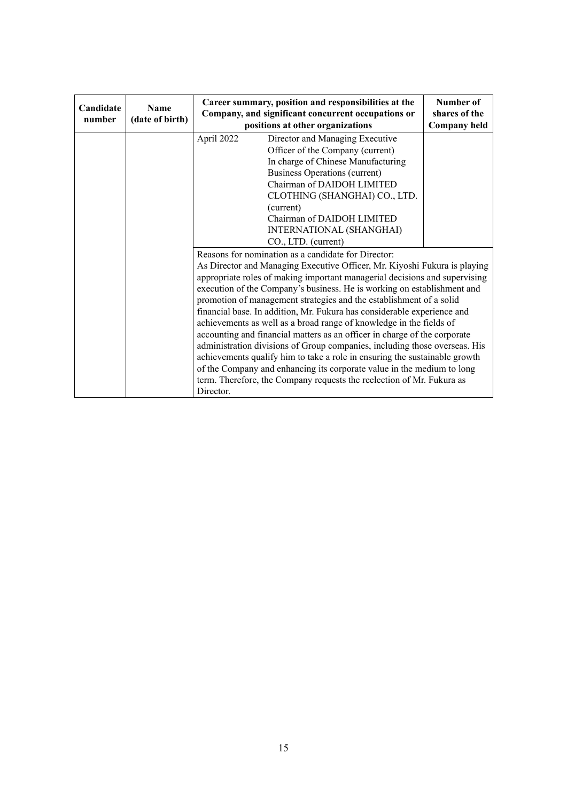| Candidate<br>number | <b>Name</b><br>(date of birth) | Career summary, position and responsibilities at the<br>Company, and significant concurrent occupations or<br>positions at other organizations                                                                                                                                                                                                                                                                                                                                                                                                                                                                                                                                                                                                                                                                                                                                                                              | Number of<br>shares of the<br><b>Company held</b> |  |
|---------------------|--------------------------------|-----------------------------------------------------------------------------------------------------------------------------------------------------------------------------------------------------------------------------------------------------------------------------------------------------------------------------------------------------------------------------------------------------------------------------------------------------------------------------------------------------------------------------------------------------------------------------------------------------------------------------------------------------------------------------------------------------------------------------------------------------------------------------------------------------------------------------------------------------------------------------------------------------------------------------|---------------------------------------------------|--|
|                     |                                | April 2022<br>Director and Managing Executive<br>Officer of the Company (current)<br>In charge of Chinese Manufacturing<br>Business Operations (current)<br>Chairman of DAIDOH LIMITED<br>CLOTHING (SHANGHAI) CO., LTD.<br>(current)<br>Chairman of DAIDOH LIMITED<br>INTERNATIONAL (SHANGHAI)<br>CO., LTD. (current)                                                                                                                                                                                                                                                                                                                                                                                                                                                                                                                                                                                                       |                                                   |  |
|                     |                                | Reasons for nomination as a candidate for Director:<br>As Director and Managing Executive Officer, Mr. Kiyoshi Fukura is playing<br>appropriate roles of making important managerial decisions and supervising<br>execution of the Company's business. He is working on establishment and<br>promotion of management strategies and the establishment of a solid<br>financial base. In addition, Mr. Fukura has considerable experience and<br>achievements as well as a broad range of knowledge in the fields of<br>accounting and financial matters as an officer in charge of the corporate<br>administration divisions of Group companies, including those overseas. His<br>achievements qualify him to take a role in ensuring the sustainable growth<br>of the Company and enhancing its corporate value in the medium to long<br>term. Therefore, the Company requests the reelection of Mr. Fukura as<br>Director. |                                                   |  |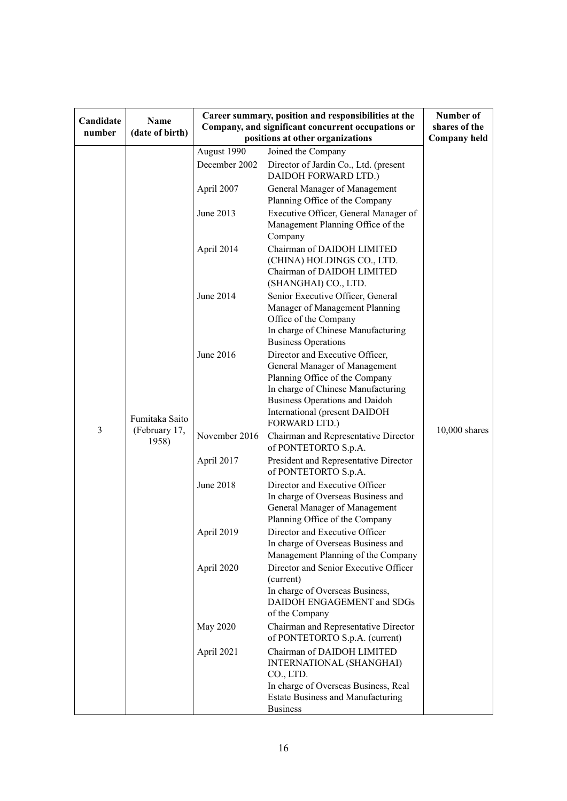| Candidate<br>number | <b>Name</b><br>(date of birth)           | Career summary, position and responsibilities at the<br>Company, and significant concurrent occupations or | Number of<br>shares of the                                                                                                                                                                                                          |                     |
|---------------------|------------------------------------------|------------------------------------------------------------------------------------------------------------|-------------------------------------------------------------------------------------------------------------------------------------------------------------------------------------------------------------------------------------|---------------------|
|                     |                                          | August 1990                                                                                                | positions at other organizations<br>Joined the Company                                                                                                                                                                              | <b>Company held</b> |
|                     |                                          | December 2002                                                                                              | Director of Jardin Co., Ltd. (present<br>DAIDOH FORWARD LTD.)                                                                                                                                                                       | $10,000$ shares     |
| 3                   | Fumitaka Saito<br>(February 17,<br>1958) | April 2007                                                                                                 | General Manager of Management<br>Planning Office of the Company                                                                                                                                                                     |                     |
|                     |                                          | June 2013                                                                                                  | Executive Officer, General Manager of<br>Management Planning Office of the<br>Company                                                                                                                                               |                     |
|                     |                                          | April 2014                                                                                                 | Chairman of DAIDOH LIMITED<br>(CHINA) HOLDINGS CO., LTD.<br>Chairman of DAIDOH LIMITED<br>(SHANGHAI) CO., LTD.                                                                                                                      |                     |
|                     |                                          | June 2014                                                                                                  | Senior Executive Officer, General<br>Manager of Management Planning<br>Office of the Company<br>In charge of Chinese Manufacturing<br><b>Business Operations</b>                                                                    |                     |
|                     |                                          | June 2016                                                                                                  | Director and Executive Officer,<br>General Manager of Management<br>Planning Office of the Company<br>In charge of Chinese Manufacturing<br><b>Business Operations and Daidoh</b><br>International (present DAIDOH<br>FORWARD LTD.) |                     |
|                     |                                          | November 2016                                                                                              | Chairman and Representative Director<br>of PONTETORTO S.p.A.                                                                                                                                                                        |                     |
|                     |                                          | April 2017                                                                                                 | President and Representative Director<br>of PONTETORTO S.p.A.                                                                                                                                                                       |                     |
|                     |                                          | <b>June 2018</b>                                                                                           | Director and Executive Officer<br>In charge of Overseas Business and<br>General Manager of Management<br>Planning Office of the Company                                                                                             |                     |
|                     |                                          | April 2019                                                                                                 | Director and Executive Officer<br>In charge of Overseas Business and<br>Management Planning of the Company                                                                                                                          |                     |
|                     |                                          | April 2020                                                                                                 | Director and Senior Executive Officer<br>(current)<br>In charge of Overseas Business,<br>DAIDOH ENGAGEMENT and SDGs<br>of the Company                                                                                               |                     |
|                     |                                          | May 2020                                                                                                   | Chairman and Representative Director<br>of PONTETORTO S.p.A. (current)                                                                                                                                                              |                     |
|                     |                                          | April 2021                                                                                                 | Chairman of DAIDOH LIMITED<br>INTERNATIONAL (SHANGHAI)<br>CO., LTD.                                                                                                                                                                 |                     |
|                     |                                          |                                                                                                            | In charge of Overseas Business, Real<br><b>Estate Business and Manufacturing</b><br><b>Business</b>                                                                                                                                 |                     |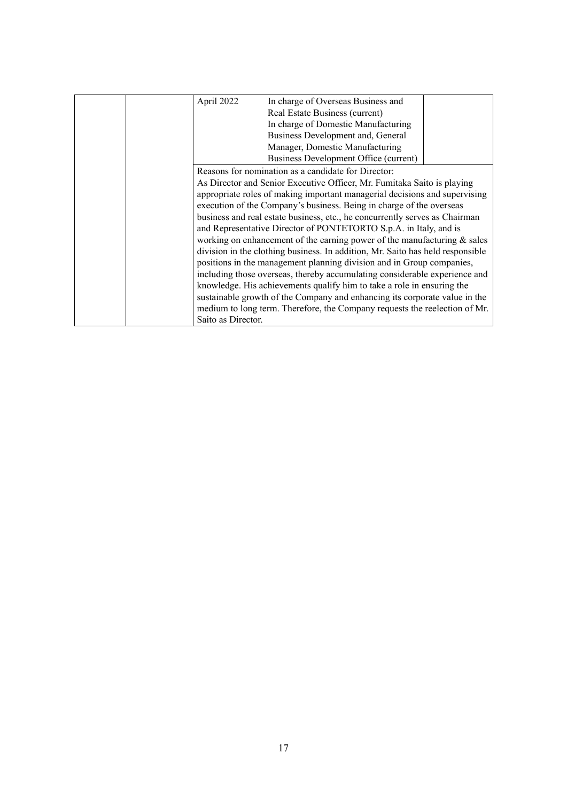|                                                                         | April 2022                                                                     | In charge of Overseas Business and                                         |  |
|-------------------------------------------------------------------------|--------------------------------------------------------------------------------|----------------------------------------------------------------------------|--|
|                                                                         |                                                                                | Real Estate Business (current)                                             |  |
|                                                                         |                                                                                | In charge of Domestic Manufacturing                                        |  |
|                                                                         |                                                                                | Business Development and, General                                          |  |
|                                                                         |                                                                                | Manager, Domestic Manufacturing                                            |  |
|                                                                         |                                                                                | Business Development Office (current)                                      |  |
|                                                                         | Reasons for nomination as a candidate for Director:                            |                                                                            |  |
| As Director and Senior Executive Officer, Mr. Fumitaka Saito is playing |                                                                                |                                                                            |  |
|                                                                         | appropriate roles of making important managerial decisions and supervising     |                                                                            |  |
|                                                                         | execution of the Company's business. Being in charge of the overseas           |                                                                            |  |
|                                                                         | business and real estate business, etc., he concurrently serves as Chairman    |                                                                            |  |
|                                                                         | and Representative Director of PONTETORTO S.p.A. in Italy, and is              |                                                                            |  |
|                                                                         | working on enhancement of the earning power of the manufacturing $\&$ sales    |                                                                            |  |
|                                                                         | division in the clothing business. In addition, Mr. Saito has held responsible |                                                                            |  |
|                                                                         |                                                                                | positions in the management planning division and in Group companies,      |  |
|                                                                         |                                                                                | including those overseas, thereby accumulating considerable experience and |  |
|                                                                         |                                                                                | knowledge. His achievements qualify him to take a role in ensuring the     |  |
|                                                                         |                                                                                | sustainable growth of the Company and enhancing its corporate value in the |  |
|                                                                         |                                                                                | medium to long term. Therefore, the Company requests the reelection of Mr. |  |
|                                                                         | Saito as Director.                                                             |                                                                            |  |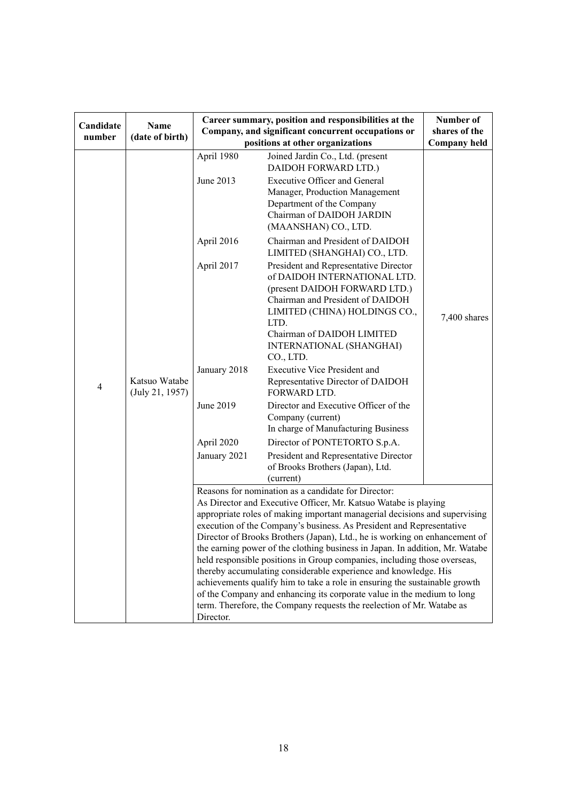| Candidate<br>number | Name<br>(date of birth)                                                    | Career summary, position and responsibilities at the<br>Company, and significant concurrent occupations or<br>positions at other organizations                                                                                                                                                                                                                                                                                                                                                                                                          | Number of<br>shares of the<br><b>Company held</b>                                                                                                                                                                                                          |              |  |
|---------------------|----------------------------------------------------------------------------|---------------------------------------------------------------------------------------------------------------------------------------------------------------------------------------------------------------------------------------------------------------------------------------------------------------------------------------------------------------------------------------------------------------------------------------------------------------------------------------------------------------------------------------------------------|------------------------------------------------------------------------------------------------------------------------------------------------------------------------------------------------------------------------------------------------------------|--------------|--|
|                     |                                                                            | April 1980<br>June 2013                                                                                                                                                                                                                                                                                                                                                                                                                                                                                                                                 | Joined Jardin Co., Ltd. (present<br>DAIDOH FORWARD LTD.)<br><b>Executive Officer and General</b><br>Manager, Production Management<br>Department of the Company<br>Chairman of DAIDOH JARDIN<br>(MAANSHAN) CO., LTD.                                       |              |  |
|                     |                                                                            | April 2016                                                                                                                                                                                                                                                                                                                                                                                                                                                                                                                                              | Chairman and President of DAIDOH<br>LIMITED (SHANGHAI) CO., LTD.                                                                                                                                                                                           |              |  |
|                     |                                                                            | April 2017                                                                                                                                                                                                                                                                                                                                                                                                                                                                                                                                              | President and Representative Director<br>of DAIDOH INTERNATIONAL LTD.<br>(present DAIDOH FORWARD LTD.)<br>Chairman and President of DAIDOH<br>LIMITED (CHINA) HOLDINGS CO.,<br>LTD.<br>Chairman of DAIDOH LIMITED<br>INTERNATIONAL (SHANGHAI)<br>CO., LTD. | 7,400 shares |  |
| $\overline{4}$      | Katsuo Watabe<br>(July 21, 1957)                                           | January 2018                                                                                                                                                                                                                                                                                                                                                                                                                                                                                                                                            | <b>Executive Vice President and</b><br>Representative Director of DAIDOH<br>FORWARD LTD.                                                                                                                                                                   |              |  |
|                     |                                                                            | June 2019                                                                                                                                                                                                                                                                                                                                                                                                                                                                                                                                               | Director and Executive Officer of the<br>Company (current)<br>In charge of Manufacturing Business                                                                                                                                                          |              |  |
|                     |                                                                            | April 2020                                                                                                                                                                                                                                                                                                                                                                                                                                                                                                                                              | Director of PONTETORTO S.p.A.                                                                                                                                                                                                                              |              |  |
|                     |                                                                            | January 2021                                                                                                                                                                                                                                                                                                                                                                                                                                                                                                                                            | President and Representative Director<br>of Brooks Brothers (Japan), Ltd.<br>(current)                                                                                                                                                                     |              |  |
|                     |                                                                            |                                                                                                                                                                                                                                                                                                                                                                                                                                                                                                                                                         | Reasons for nomination as a candidate for Director:                                                                                                                                                                                                        |              |  |
|                     |                                                                            |                                                                                                                                                                                                                                                                                                                                                                                                                                                                                                                                                         | As Director and Executive Officer, Mr. Katsuo Watabe is playing                                                                                                                                                                                            |              |  |
|                     | appropriate roles of making important managerial decisions and supervising |                                                                                                                                                                                                                                                                                                                                                                                                                                                                                                                                                         |                                                                                                                                                                                                                                                            |              |  |
|                     |                                                                            | execution of the Company's business. As President and Representative                                                                                                                                                                                                                                                                                                                                                                                                                                                                                    |                                                                                                                                                                                                                                                            |              |  |
|                     |                                                                            | Director of Brooks Brothers (Japan), Ltd., he is working on enhancement of<br>the earning power of the clothing business in Japan. In addition, Mr. Watabe<br>held responsible positions in Group companies, including those overseas,<br>thereby accumulating considerable experience and knowledge. His<br>achievements qualify him to take a role in ensuring the sustainable growth<br>of the Company and enhancing its corporate value in the medium to long<br>term. Therefore, the Company requests the reelection of Mr. Watabe as<br>Director. |                                                                                                                                                                                                                                                            |              |  |
|                     |                                                                            |                                                                                                                                                                                                                                                                                                                                                                                                                                                                                                                                                         |                                                                                                                                                                                                                                                            |              |  |
|                     |                                                                            |                                                                                                                                                                                                                                                                                                                                                                                                                                                                                                                                                         |                                                                                                                                                                                                                                                            |              |  |
|                     |                                                                            |                                                                                                                                                                                                                                                                                                                                                                                                                                                                                                                                                         |                                                                                                                                                                                                                                                            |              |  |
|                     |                                                                            |                                                                                                                                                                                                                                                                                                                                                                                                                                                                                                                                                         |                                                                                                                                                                                                                                                            |              |  |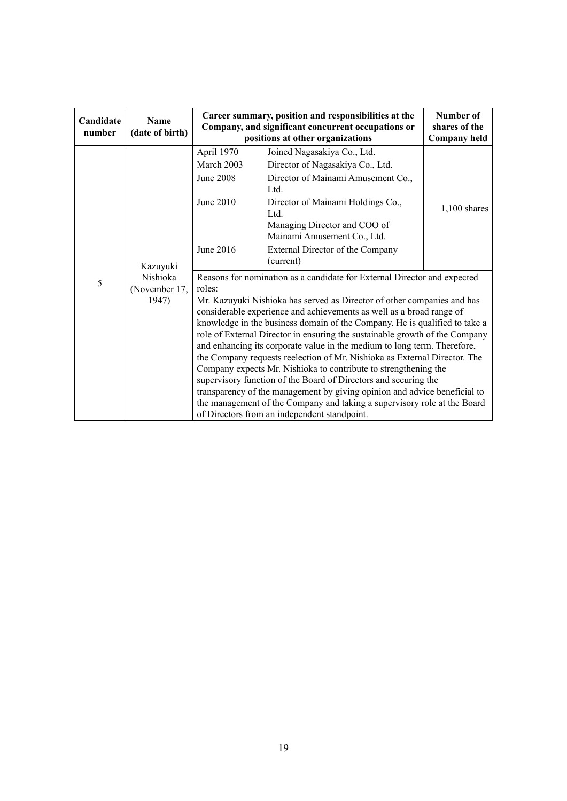| Candidate<br>number | <b>Name</b><br>(date of birth)                 | Career summary, position and responsibilities at the<br>Company, and significant concurrent occupations or<br>positions at other organizations                                                                                                                                                                                                                                                                                                                                                                                                                                                                                                                                                                                                                                                                                                                                                             | Number of<br>shares of the<br><b>Company held</b>                                                             |                |
|---------------------|------------------------------------------------|------------------------------------------------------------------------------------------------------------------------------------------------------------------------------------------------------------------------------------------------------------------------------------------------------------------------------------------------------------------------------------------------------------------------------------------------------------------------------------------------------------------------------------------------------------------------------------------------------------------------------------------------------------------------------------------------------------------------------------------------------------------------------------------------------------------------------------------------------------------------------------------------------------|---------------------------------------------------------------------------------------------------------------|----------------|
| 5                   | Kazuyuki<br>Nishioka<br>(November 17,<br>1947) | April 1970<br>March 2003<br>June 2008                                                                                                                                                                                                                                                                                                                                                                                                                                                                                                                                                                                                                                                                                                                                                                                                                                                                      | Joined Nagasakiya Co., Ltd.<br>Director of Nagasakiya Co., Ltd.<br>Director of Mainami Amusement Co.,<br>Ltd. |                |
|                     |                                                | June 2010                                                                                                                                                                                                                                                                                                                                                                                                                                                                                                                                                                                                                                                                                                                                                                                                                                                                                                  | Director of Mainami Holdings Co.,<br>Ltd.<br>Managing Director and COO of<br>Mainami Amusement Co., Ltd.      | $1,100$ shares |
|                     |                                                | June 2016                                                                                                                                                                                                                                                                                                                                                                                                                                                                                                                                                                                                                                                                                                                                                                                                                                                                                                  | External Director of the Company<br>(current)                                                                 |                |
|                     |                                                | Reasons for nomination as a candidate for External Director and expected<br>roles:<br>Mr. Kazuyuki Nishioka has served as Director of other companies and has<br>considerable experience and achievements as well as a broad range of<br>knowledge in the business domain of the Company. He is qualified to take a<br>role of External Director in ensuring the sustainable growth of the Company<br>and enhancing its corporate value in the medium to long term. Therefore,<br>the Company requests reelection of Mr. Nishioka as External Director. The<br>Company expects Mr. Nishioka to contribute to strengthening the<br>supervisory function of the Board of Directors and securing the<br>transparency of the management by giving opinion and advice beneficial to<br>the management of the Company and taking a supervisory role at the Board<br>of Directors from an independent standpoint. |                                                                                                               |                |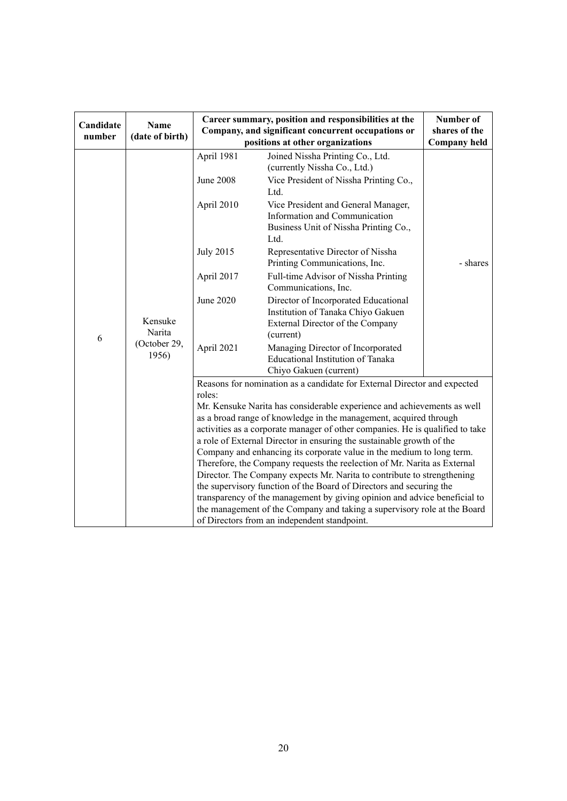| Candidate<br>number | <b>Name</b><br>(date of birth)             | Career summary, position and responsibilities at the<br>Company, and significant concurrent occupations or<br>positions at other organizations                                                                                                                                                                                                                                                                                                                                                                                                                                                                                                                                                                                                                                                                                                                                                               |                                                                                                                                                                                                                                             | Number of<br>shares of the<br><b>Company held</b> |
|---------------------|--------------------------------------------|--------------------------------------------------------------------------------------------------------------------------------------------------------------------------------------------------------------------------------------------------------------------------------------------------------------------------------------------------------------------------------------------------------------------------------------------------------------------------------------------------------------------------------------------------------------------------------------------------------------------------------------------------------------------------------------------------------------------------------------------------------------------------------------------------------------------------------------------------------------------------------------------------------------|---------------------------------------------------------------------------------------------------------------------------------------------------------------------------------------------------------------------------------------------|---------------------------------------------------|
| 6                   | Kensuke<br>Narita<br>(October 29,<br>1956) | April 1981<br><b>June 2008</b><br>April 2010                                                                                                                                                                                                                                                                                                                                                                                                                                                                                                                                                                                                                                                                                                                                                                                                                                                                 | Joined Nissha Printing Co., Ltd.<br>(currently Nissha Co., Ltd.)<br>Vice President of Nissha Printing Co.,<br>Ltd.<br>Vice President and General Manager,<br>Information and Communication<br>Business Unit of Nissha Printing Co.,<br>Ltd. |                                                   |
|                     |                                            | <b>July 2015</b><br>April 2017                                                                                                                                                                                                                                                                                                                                                                                                                                                                                                                                                                                                                                                                                                                                                                                                                                                                               | Representative Director of Nissha<br>Printing Communications, Inc.<br>Full-time Advisor of Nissha Printing                                                                                                                                  | - shares                                          |
|                     |                                            | <b>June 2020</b>                                                                                                                                                                                                                                                                                                                                                                                                                                                                                                                                                                                                                                                                                                                                                                                                                                                                                             | Communications, Inc.<br>Director of Incorporated Educational<br>Institution of Tanaka Chiyo Gakuen<br>External Director of the Company<br>(current)                                                                                         |                                                   |
|                     |                                            | April 2021                                                                                                                                                                                                                                                                                                                                                                                                                                                                                                                                                                                                                                                                                                                                                                                                                                                                                                   | Managing Director of Incorporated<br>Educational Institution of Tanaka<br>Chiyo Gakuen (current)                                                                                                                                            |                                                   |
|                     |                                            | Reasons for nomination as a candidate for External Director and expected<br>roles:<br>Mr. Kensuke Narita has considerable experience and achievements as well<br>as a broad range of knowledge in the management, acquired through<br>activities as a corporate manager of other companies. He is qualified to take<br>a role of External Director in ensuring the sustainable growth of the<br>Company and enhancing its corporate value in the medium to long term.<br>Therefore, the Company requests the reelection of Mr. Narita as External<br>Director. The Company expects Mr. Narita to contribute to strengthening<br>the supervisory function of the Board of Directors and securing the<br>transparency of the management by giving opinion and advice beneficial to<br>the management of the Company and taking a supervisory role at the Board<br>of Directors from an independent standpoint. |                                                                                                                                                                                                                                             |                                                   |